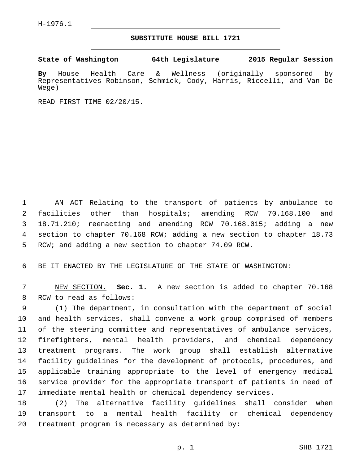## **SUBSTITUTE HOUSE BILL 1721**

**State of Washington 64th Legislature 2015 Regular Session**

**By** House Health Care & Wellness (originally sponsored by Representatives Robinson, Schmick, Cody, Harris, Riccelli, and Van De Wege)

READ FIRST TIME 02/20/15.

 AN ACT Relating to the transport of patients by ambulance to facilities other than hospitals; amending RCW 70.168.100 and 18.71.210; reenacting and amending RCW 70.168.015; adding a new section to chapter 70.168 RCW; adding a new section to chapter 18.73 RCW; and adding a new section to chapter 74.09 RCW.

BE IT ENACTED BY THE LEGISLATURE OF THE STATE OF WASHINGTON:

 NEW SECTION. **Sec. 1.** A new section is added to chapter 70.168 8 RCW to read as follows:

 (1) The department, in consultation with the department of social and health services, shall convene a work group comprised of members of the steering committee and representatives of ambulance services, firefighters, mental health providers, and chemical dependency treatment programs. The work group shall establish alternative facility guidelines for the development of protocols, procedures, and applicable training appropriate to the level of emergency medical service provider for the appropriate transport of patients in need of immediate mental health or chemical dependency services.

 (2) The alternative facility guidelines shall consider when transport to a mental health facility or chemical dependency 20 treatment program is necessary as determined by: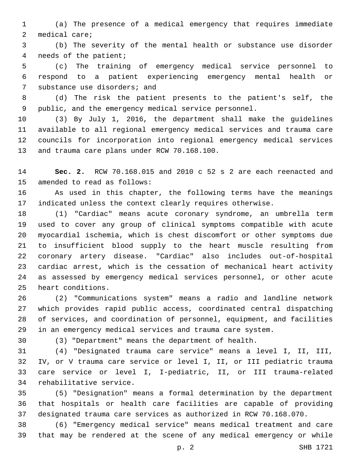(a) The presence of a medical emergency that requires immediate 2 medical care;

 (b) The severity of the mental health or substance use disorder 4 needs of the patient;

 (c) The training of emergency medical service personnel to respond to a patient experiencing emergency mental health or 7 substance use disorders; and

 (d) The risk the patient presents to the patient's self, the public, and the emergency medical service personnel.

 (3) By July 1, 2016, the department shall make the guidelines available to all regional emergency medical services and trauma care councils for incorporation into regional emergency medical services 13 and trauma care plans under RCW 70.168.100.

 **Sec. 2.** RCW 70.168.015 and 2010 c 52 s 2 are each reenacted and 15 amended to read as follows:

 As used in this chapter, the following terms have the meanings indicated unless the context clearly requires otherwise.

 (1) "Cardiac" means acute coronary syndrome, an umbrella term used to cover any group of clinical symptoms compatible with acute myocardial ischemia, which is chest discomfort or other symptoms due to insufficient blood supply to the heart muscle resulting from coronary artery disease. "Cardiac" also includes out-of-hospital cardiac arrest, which is the cessation of mechanical heart activity as assessed by emergency medical services personnel, or other acute 25 heart conditions.

 (2) "Communications system" means a radio and landline network which provides rapid public access, coordinated central dispatching of services, and coordination of personnel, equipment, and facilities in an emergency medical services and trauma care system.

(3) "Department" means the department of health.

 (4) "Designated trauma care service" means a level I, II, III, IV, or V trauma care service or level I, II, or III pediatric trauma care service or level I, I-pediatric, II, or III trauma-related 34 rehabilitative service.

 (5) "Designation" means a formal determination by the department that hospitals or health care facilities are capable of providing designated trauma care services as authorized in RCW 70.168.070.

 (6) "Emergency medical service" means medical treatment and care that may be rendered at the scene of any medical emergency or while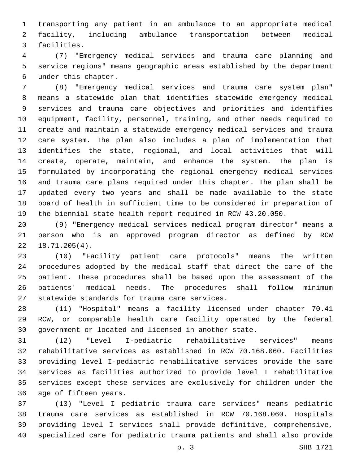transporting any patient in an ambulance to an appropriate medical facility, including ambulance transportation between medical 3 facilities.

 (7) "Emergency medical services and trauma care planning and service regions" means geographic areas established by the department under this chapter.6

 (8) "Emergency medical services and trauma care system plan" means a statewide plan that identifies statewide emergency medical services and trauma care objectives and priorities and identifies equipment, facility, personnel, training, and other needs required to create and maintain a statewide emergency medical services and trauma care system. The plan also includes a plan of implementation that identifies the state, regional, and local activities that will create, operate, maintain, and enhance the system. The plan is formulated by incorporating the regional emergency medical services and trauma care plans required under this chapter. The plan shall be updated every two years and shall be made available to the state board of health in sufficient time to be considered in preparation of the biennial state health report required in RCW 43.20.050.

 (9) "Emergency medical services medical program director" means a person who is an approved program director as defined by RCW  $22 \quad 18.71.205(4)$ .

 (10) "Facility patient care protocols" means the written procedures adopted by the medical staff that direct the care of the patient. These procedures shall be based upon the assessment of the patients' medical needs. The procedures shall follow minimum 27 statewide standards for trauma care services.

 (11) "Hospital" means a facility licensed under chapter 70.41 RCW, or comparable health care facility operated by the federal government or located and licensed in another state.

 (12) "Level I-pediatric rehabilitative services" means rehabilitative services as established in RCW 70.168.060. Facilities providing level I-pediatric rehabilitative services provide the same services as facilities authorized to provide level I rehabilitative services except these services are exclusively for children under the 36 age of fifteen years.

 (13) "Level I pediatric trauma care services" means pediatric trauma care services as established in RCW 70.168.060. Hospitals providing level I services shall provide definitive, comprehensive, specialized care for pediatric trauma patients and shall also provide

p. 3 SHB 1721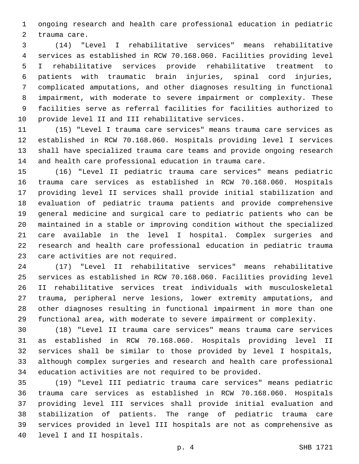ongoing research and health care professional education in pediatric 2 trauma care.

 (14) "Level I rehabilitative services" means rehabilitative services as established in RCW 70.168.060. Facilities providing level I rehabilitative services provide rehabilitative treatment to patients with traumatic brain injuries, spinal cord injuries, complicated amputations, and other diagnoses resulting in functional impairment, with moderate to severe impairment or complexity. These facilities serve as referral facilities for facilities authorized to 10 provide level II and III rehabilitative services.

 (15) "Level I trauma care services" means trauma care services as established in RCW 70.168.060. Hospitals providing level I services shall have specialized trauma care teams and provide ongoing research and health care professional education in trauma care.

 (16) "Level II pediatric trauma care services" means pediatric trauma care services as established in RCW 70.168.060. Hospitals providing level II services shall provide initial stabilization and evaluation of pediatric trauma patients and provide comprehensive general medicine and surgical care to pediatric patients who can be maintained in a stable or improving condition without the specialized care available in the level I hospital. Complex surgeries and research and health care professional education in pediatric trauma 23 care activities are not required.

 (17) "Level II rehabilitative services" means rehabilitative services as established in RCW 70.168.060. Facilities providing level II rehabilitative services treat individuals with musculoskeletal trauma, peripheral nerve lesions, lower extremity amputations, and other diagnoses resulting in functional impairment in more than one functional area, with moderate to severe impairment or complexity.

 (18) "Level II trauma care services" means trauma care services as established in RCW 70.168.060. Hospitals providing level II services shall be similar to those provided by level I hospitals, although complex surgeries and research and health care professional education activities are not required to be provided.

 (19) "Level III pediatric trauma care services" means pediatric trauma care services as established in RCW 70.168.060. Hospitals providing level III services shall provide initial evaluation and stabilization of patients. The range of pediatric trauma care services provided in level III hospitals are not as comprehensive as 40 level I and II hospitals.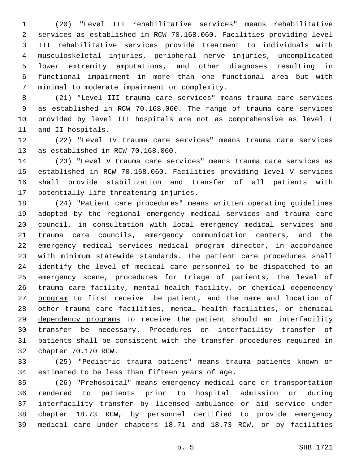(20) "Level III rehabilitative services" means rehabilitative services as established in RCW 70.168.060. Facilities providing level III rehabilitative services provide treatment to individuals with musculoskeletal injuries, peripheral nerve injuries, uncomplicated lower extremity amputations, and other diagnoses resulting in functional impairment in more than one functional area but with 7 minimal to moderate impairment or complexity.

 (21) "Level III trauma care services" means trauma care services as established in RCW 70.168.060. The range of trauma care services provided by level III hospitals are not as comprehensive as level I 11 and II hospitals.

 (22) "Level IV trauma care services" means trauma care services 13 as established in RCW 70.168.060.

 (23) "Level V trauma care services" means trauma care services as established in RCW 70.168.060. Facilities providing level V services shall provide stabilization and transfer of all patients with 17 potentially life-threatening injuries.

 (24) "Patient care procedures" means written operating guidelines adopted by the regional emergency medical services and trauma care council, in consultation with local emergency medical services and trauma care councils, emergency communication centers, and the emergency medical services medical program director, in accordance with minimum statewide standards. The patient care procedures shall identify the level of medical care personnel to be dispatched to an emergency scene, procedures for triage of patients, the level of trauma care facility, mental health facility, or chemical dependency 27 program to first receive the patient, and the name and location of other trauma care facilities, mental health facilities, or chemical 29 dependency programs to receive the patient should an interfacility transfer be necessary. Procedures on interfacility transfer of patients shall be consistent with the transfer procedures required in 32 chapter 70.170 RCW.

 (25) "Pediatric trauma patient" means trauma patients known or 34 estimated to be less than fifteen years of age.

 (26) "Prehospital" means emergency medical care or transportation rendered to patients prior to hospital admission or during interfacility transfer by licensed ambulance or aid service under chapter 18.73 RCW, by personnel certified to provide emergency medical care under chapters 18.71 and 18.73 RCW, or by facilities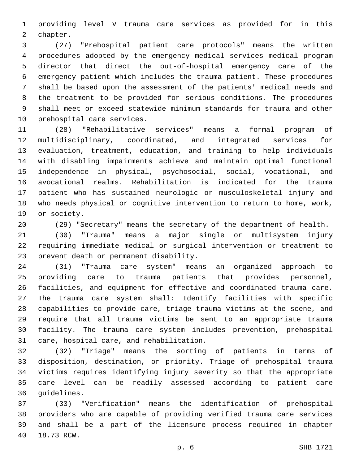providing level V trauma care services as provided for in this 2 chapter.

 (27) "Prehospital patient care protocols" means the written procedures adopted by the emergency medical services medical program director that direct the out-of-hospital emergency care of the emergency patient which includes the trauma patient. These procedures shall be based upon the assessment of the patients' medical needs and the treatment to be provided for serious conditions. The procedures shall meet or exceed statewide minimum standards for trauma and other 10 prehospital care services.

 (28) "Rehabilitative services" means a formal program of multidisciplinary, coordinated, and integrated services for evaluation, treatment, education, and training to help individuals with disabling impairments achieve and maintain optimal functional independence in physical, psychosocial, social, vocational, and avocational realms. Rehabilitation is indicated for the trauma patient who has sustained neurologic or musculoskeletal injury and who needs physical or cognitive intervention to return to home, work, 19 or society.

(29) "Secretary" means the secretary of the department of health.

 (30) "Trauma" means a major single or multisystem injury requiring immediate medical or surgical intervention or treatment to 23 prevent death or permanent disability.

 (31) "Trauma care system" means an organized approach to providing care to trauma patients that provides personnel, facilities, and equipment for effective and coordinated trauma care. The trauma care system shall: Identify facilities with specific capabilities to provide care, triage trauma victims at the scene, and require that all trauma victims be sent to an appropriate trauma facility. The trauma care system includes prevention, prehospital 31 care, hospital care, and rehabilitation.

 (32) "Triage" means the sorting of patients in terms of disposition, destination, or priority. Triage of prehospital trauma victims requires identifying injury severity so that the appropriate care level can be readily assessed according to patient care 36 guidelines.

 (33) "Verification" means the identification of prehospital providers who are capable of providing verified trauma care services and shall be a part of the licensure process required in chapter 40 18.73 RCW.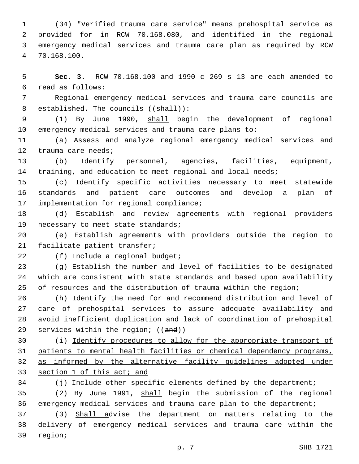(34) "Verified trauma care service" means prehospital service as provided for in RCW 70.168.080, and identified in the regional emergency medical services and trauma care plan as required by RCW 70.168.100.4

 **Sec. 3.** RCW 70.168.100 and 1990 c 269 s 13 are each amended to read as follows:6

 Regional emergency medical services and trauma care councils are 8 established. The councils ((shall)):

 (1) By June 1990, shall begin the development of regional emergency medical services and trauma care plans to:

 (a) Assess and analyze regional emergency medical services and 12 trauma care needs;

 (b) Identify personnel, agencies, facilities, equipment, training, and education to meet regional and local needs;

 (c) Identify specific activities necessary to meet statewide standards and patient care outcomes and develop a plan of 17 implementation for regional compliance;

 (d) Establish and review agreements with regional providers 19 necessary to meet state standards;

 (e) Establish agreements with providers outside the region to 21 facilitate patient transfer;

22 (f) Include a regional budget;

 (g) Establish the number and level of facilities to be designated which are consistent with state standards and based upon availability of resources and the distribution of trauma within the region;

 (h) Identify the need for and recommend distribution and level of care of prehospital services to assure adequate availability and avoid inefficient duplication and lack of coordination of prehospital 29 services within the region; ((and))

 (i) Identify procedures to allow for the appropriate transport of patients to mental health facilities or chemical dependency programs, as informed by the alternative facility guidelines adopted under section 1 of this act; and

 (j) Include other specific elements defined by the department; (2) By June 1991, shall begin the submission of the regional

emergency medical services and trauma care plan to the department;

 (3) Shall advise the department on matters relating to the delivery of emergency medical services and trauma care within the 39 region;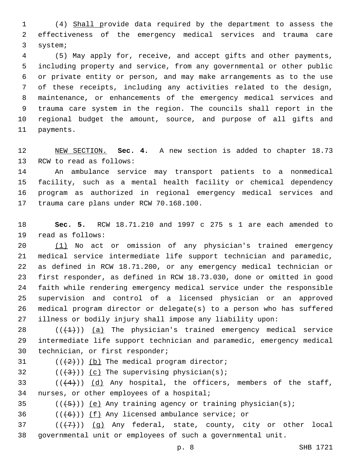(4) Shall provide data required by the department to assess the effectiveness of the emergency medical services and trauma care 3 system;

 (5) May apply for, receive, and accept gifts and other payments, including property and service, from any governmental or other public or private entity or person, and may make arrangements as to the use of these receipts, including any activities related to the design, maintenance, or enhancements of the emergency medical services and trauma care system in the region. The councils shall report in the regional budget the amount, source, and purpose of all gifts and 11 payments.

 NEW SECTION. **Sec. 4.** A new section is added to chapter 18.73 13 RCW to read as follows:

 An ambulance service may transport patients to a nonmedical facility, such as a mental health facility or chemical dependency program as authorized in regional emergency medical services and 17 trauma care plans under RCW 70.168.100.

 **Sec. 5.** RCW 18.71.210 and 1997 c 275 s 1 are each amended to 19 read as follows:

 (1) No act or omission of any physician's trained emergency medical service intermediate life support technician and paramedic, as defined in RCW 18.71.200, or any emergency medical technician or first responder, as defined in RCW 18.73.030, done or omitted in good faith while rendering emergency medical service under the responsible supervision and control of a licensed physician or an approved medical program director or delegate(s) to a person who has suffered illness or bodily injury shall impose any liability upon:

 $((+1))$   $(a)$  The physician's trained emergency medical service intermediate life support technician and paramedic, emergency medical 30 technician, or first responder;

 $(1+2)(1)$  (b) The medical program director;

 $($  (( $\{3\})$ )) (c) The supervising physician(s);

 $(1+4)$ ) (d) Any hospital, the officers, members of the staff, 34 nurses, or other employees of a hospital;

35  $((+5+))$  (e) Any training agency or training physician(s);

36  $((+6))$   $(f)$  Any licensed ambulance service; or

 ( $(\overline{+7})$ ) (g) Any federal, state, county, city or other local governmental unit or employees of such a governmental unit.